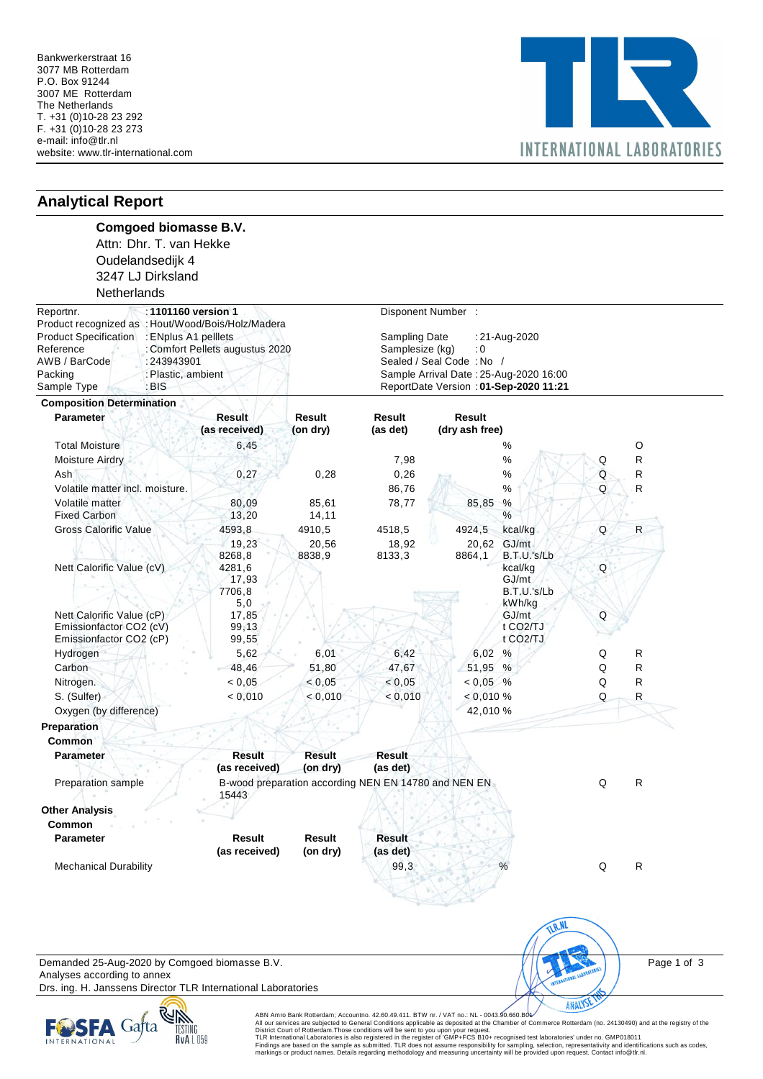

| <b>Analytical Report</b>                                                                                                                                                                                                                            |                                                                      |                                                                                                                                                                                              |                                                                                           |                 |                                                                   |                  |              |
|-----------------------------------------------------------------------------------------------------------------------------------------------------------------------------------------------------------------------------------------------------|----------------------------------------------------------------------|----------------------------------------------------------------------------------------------------------------------------------------------------------------------------------------------|-------------------------------------------------------------------------------------------|-----------------|-------------------------------------------------------------------|------------------|--------------|
| Oudelandsedijk 4<br>3247 LJ Dirksland<br>Netherlands                                                                                                                                                                                                | <b>Comgoed biomasse B.V.</b><br>Attn: Dhr. T. van Hekke              |                                                                                                                                                                                              |                                                                                           |                 |                                                                   |                  |              |
| Reportnr.                                                                                                                                                                                                                                           | :1101160 version 1                                                   |                                                                                                                                                                                              | Disponent Number :                                                                        |                 |                                                                   |                  |              |
| Product recognized as : Hout/Wood/Bois/Holz/Madera<br><b>Product Specification</b><br>: ENplus A1 pelllets<br>Reference<br>: Comfort Pellets augustus 2020<br>AWB / BarCode<br>: 243943901<br>Packing<br>: Plastic, ambient<br>Sample Type<br>: BIS |                                                                      | Sampling Date<br>:21-Aug-2020<br>Samplesize (kg)<br>$\ddot{\phantom{0}}$ : 0<br>Sealed / Seal Code: No /<br>Sample Arrival Date: 25-Aug-2020 16:00<br>ReportDate Version : 01-Sep-2020 11:21 |                                                                                           |                 |                                                                   |                  |              |
| <b>Composition Determination</b>                                                                                                                                                                                                                    |                                                                      |                                                                                                                                                                                              |                                                                                           |                 |                                                                   |                  |              |
| <b>Parameter</b>                                                                                                                                                                                                                                    | <b>Result</b>                                                        | Result                                                                                                                                                                                       | Result                                                                                    | <b>Result</b>   |                                                                   |                  |              |
|                                                                                                                                                                                                                                                     | (as received)                                                        | (on dry)                                                                                                                                                                                     | (as det)                                                                                  | (dry ash free)  |                                                                   |                  |              |
| <b>Total Moisture</b>                                                                                                                                                                                                                               | 6,45                                                                 |                                                                                                                                                                                              |                                                                                           |                 | %                                                                 |                  | O            |
| <b>Moisture Airdry</b>                                                                                                                                                                                                                              |                                                                      |                                                                                                                                                                                              | 7,98                                                                                      |                 | $\%$                                                              | Q                | R            |
| Ash                                                                                                                                                                                                                                                 | 0,27                                                                 | 0,28                                                                                                                                                                                         | 0,26                                                                                      |                 | %                                                                 | $\mathsf Q$      | R            |
| Volatile matter incl. moisture.                                                                                                                                                                                                                     |                                                                      |                                                                                                                                                                                              | 86,76                                                                                     |                 | $\%$                                                              | Q                | R            |
| Volatile matter<br><b>Fixed Carbon</b>                                                                                                                                                                                                              | 80,09<br>13,20                                                       | 85,61<br>14,11                                                                                                                                                                               | 78,77                                                                                     | 85,85           | %<br>%                                                            |                  |              |
| <b>Gross Calorific Value</b>                                                                                                                                                                                                                        | 4593,8                                                               | 4910,5                                                                                                                                                                                       | 4518,5                                                                                    | 4924,5          | kcal/kg                                                           | Q                | $\mathsf{R}$ |
| Nett Calorific Value (cV)                                                                                                                                                                                                                           | 19,23<br>8268,8<br>4281,6<br>17,93<br>7706,8                         | 20,56<br>8838.9                                                                                                                                                                              | 18,92<br>8133,3                                                                           | 20,62<br>8864,1 | GJ/mt<br>B.T.U.'s/Lb<br>kcal/kg<br>GJ/mt<br>B.T.U.'s/Lb<br>kWh/kg | Q                |              |
| Nett Calorific Value (cP)<br>Emissionfactor CO2 (cV)<br>Emissionfactor CO2 (cP)                                                                                                                                                                     | 5,0<br>17,85<br>99,13<br>99,55                                       |                                                                                                                                                                                              |                                                                                           |                 | GJ/mt<br>t CO <sub>2</sub> /TJ<br>t CO <sub>2</sub> /TJ           | $\mathsf Q$      |              |
| Hydrogen                                                                                                                                                                                                                                            | 5,62                                                                 | 6,01                                                                                                                                                                                         | 6,42                                                                                      | 6,02 %          |                                                                   | Q                | R            |
| Carbon                                                                                                                                                                                                                                              | 48,46                                                                | 51,80                                                                                                                                                                                        | 47,67                                                                                     | 51,95 %         |                                                                   | Q                | R            |
| Nitrogen.                                                                                                                                                                                                                                           | < 0,05                                                               | < 0,05                                                                                                                                                                                       | < 0,05                                                                                    | $< 0.05$ %      |                                                                   | Q                | R            |
| S. (Sulfer)                                                                                                                                                                                                                                         | < 0,010                                                              | < 0,010                                                                                                                                                                                      | < 0,010                                                                                   | $< 0,010 \%$    |                                                                   | Q                | $\mathsf R$  |
| Oxygen (by difference)                                                                                                                                                                                                                              |                                                                      |                                                                                                                                                                                              |                                                                                           | 42,010 %        |                                                                   |                  |              |
|                                                                                                                                                                                                                                                     |                                                                      |                                                                                                                                                                                              |                                                                                           |                 |                                                                   |                  |              |
| Preparation<br><b>Common</b>                                                                                                                                                                                                                        |                                                                      |                                                                                                                                                                                              |                                                                                           |                 |                                                                   |                  |              |
| <b>Parameter</b>                                                                                                                                                                                                                                    | <b>Result</b>                                                        | Result                                                                                                                                                                                       | <b>Result</b>                                                                             |                 |                                                                   |                  |              |
|                                                                                                                                                                                                                                                     | (as received)                                                        | (on dry)                                                                                                                                                                                     | (as det)                                                                                  |                 |                                                                   |                  |              |
| Preparation sample                                                                                                                                                                                                                                  | 15443                                                                |                                                                                                                                                                                              | B-wood preparation according NEN EN 14780 and NEN EN                                      |                 |                                                                   | Q                | R            |
| <b>Other Analysis</b>                                                                                                                                                                                                                               |                                                                      |                                                                                                                                                                                              |                                                                                           |                 |                                                                   |                  |              |
| <b>Common</b>                                                                                                                                                                                                                                       |                                                                      |                                                                                                                                                                                              |                                                                                           |                 |                                                                   |                  |              |
| <b>Parameter</b>                                                                                                                                                                                                                                    | Result<br>(as received)                                              | Result<br>(on dry)                                                                                                                                                                           | <b>Result</b><br>(as det)                                                                 |                 |                                                                   |                  |              |
| <b>Mechanical Durability</b>                                                                                                                                                                                                                        |                                                                      |                                                                                                                                                                                              | 99,3                                                                                      |                 | %                                                                 | Q                | $\mathsf{R}$ |
| Analyses according to annex                                                                                                                                                                                                                         | Demanded 25-Aug-2020 by Comgoed biomasse B.V.                        |                                                                                                                                                                                              |                                                                                           |                 | <b>TLR.NL</b>                                                     |                  | Page 1 of 3  |
|                                                                                                                                                                                                                                                     | Drs. ing. H. Janssens Director TLR International Laboratories<br>RUR |                                                                                                                                                                                              | ABN Amro Bank Rotterdam; Accountno. 42.60.49.411. BTW nr. / VAT no.: NL - 0043.90.660.B04 |                 |                                                                   | <b>ANALYSE T</b> |              |



ABN Amro Bank Rotterdam; Accountno. 42.60.49.411. BTW nr. / VAT no.: NL - 0043.90.660.B04⁄<br>All our services are subjected to General Conditions applicable as deposited at the Chamber of Commerce Rotterdam (no. 24130490) an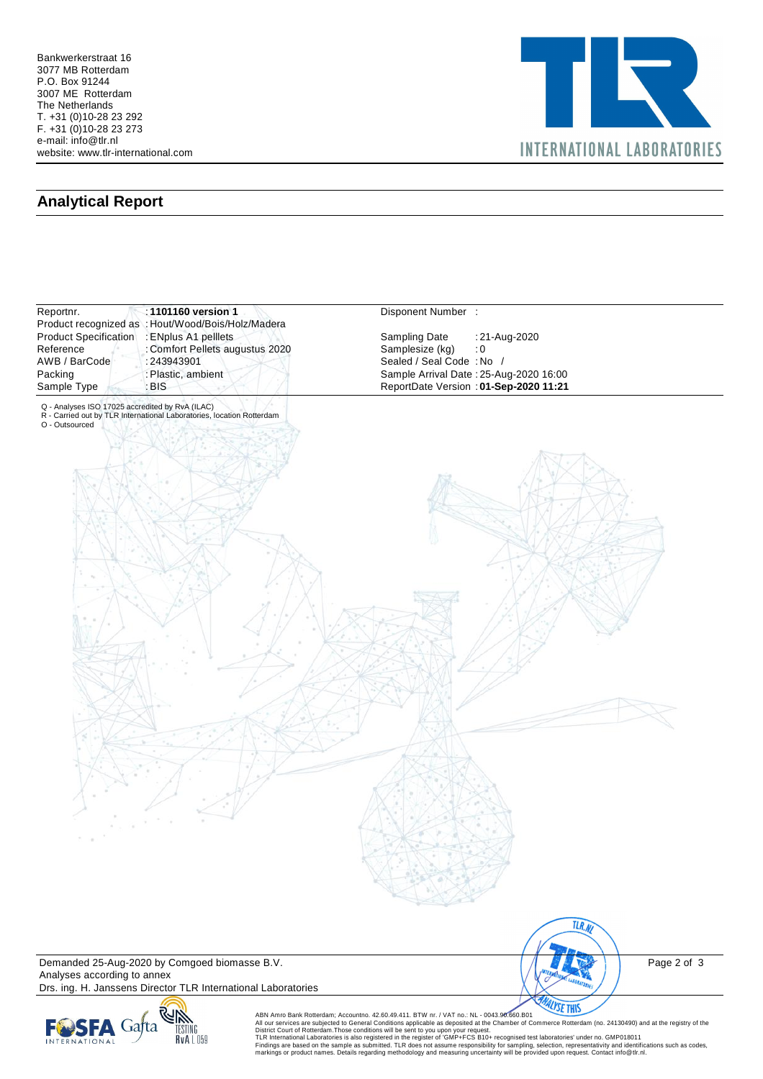

## **Analytical Report**